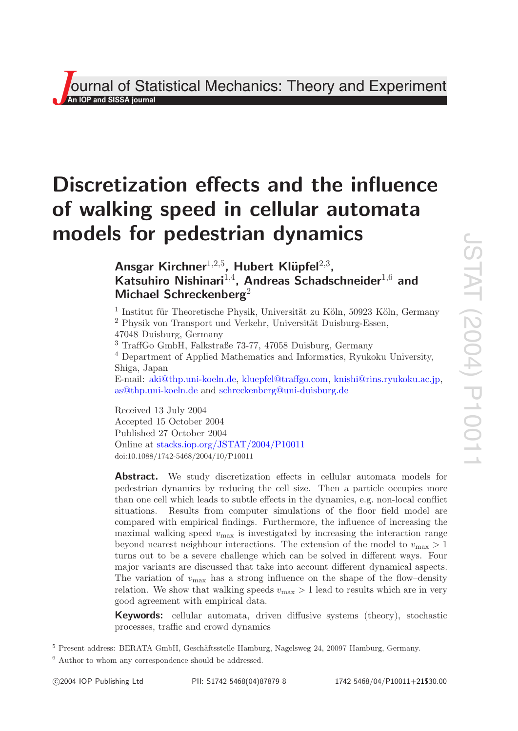**J**<br>**J**<br>**An IOP and SISSA journal**<br>*An* **IOP and SISSA journal** Theory and Experiment

# **Discretization effects and the influence of walking speed in cellular automata models for pedestrian dynamics**

Ansgar Kirchner<sup>1,2,5</sup>, Hubert Klüpfel<sup>2,3</sup>, Katsuhiro Nishinari<sup>1,4</sup>, Andreas Schadschneider<sup>1,6</sup> and **Michael Schreckenberg** 2

 $1$  Institut für Theoretische Physik, Universität zu Köln, 50923 Köln, Germany  $<sup>2</sup>$  Physik von Transport und Verkehr, Universität Duisburg-Essen,</sup> 47048 Duisburg, Germany

<sup>3</sup> TraffGo GmbH, Falkstraße 73-77, 47058 Duisburg, Germany

<sup>4</sup> Department of Applied Mathematics and Informatics, Ryukoku University, Shiga, Japan

E-mail: [aki@thp.uni-koeln.de](mailto:aki@thp.uni-koeln.de), [kluepfel@traffgo.com](mailto:kluepfel@traffgo.com), [knishi@rins.ryukoku.ac.jp](mailto:knishi@rins.ryukoku.ac.jp), [as@thp.uni-koeln.de](mailto:as@thp.uni-koeln.de) and [schreckenberg@uni-duisburg.de](mailto:schreckenberg@uni-duisburg.de)

Received 13 July 2004 Accepted 15 October 2004 Published 27 October 2004 Online at [stacks.iop.org/JSTAT/2004/P10011](http://stacks.iop.org/JSTAT/2004/P10011) doi:10.1088/1742-5468/2004/10/P10011

**Abstract.** We study discretization effects in cellular automata models for pedestrian dynamics by reducing the cell size. Then a particle occupies more than one cell which leads to subtle effects in the dynamics, e.g. non-local conflict situations. Results from computer simulations of the floor field model are compared with empirical findings. Furthermore, the influence of increasing the maximal walking speed  $v_{\text{max}}$  is investigated by increasing the interaction range beyond nearest neighbour interactions. The extension of the model to  $v_{\text{max}} > 1$ turns out to be a severe challenge which can be solved in different ways. Four major variants are discussed that take into account different dynamical aspects. The variation of  $v_{\text{max}}$  has a strong influence on the shape of the flow–density relation. We show that walking speeds  $v_{\text{max}} > 1$  lead to results which are in very good agreement with empirical data.

**Keywords:** cellular automata, driven diffusive systems (theory), stochastic processes, traffic and crowd dynamics

<sup>5</sup> Present address: BERATA GmbH, Geschäftsstelle Hamburg, Nagelsweg 24, 20097 Hamburg, Germany.

<sup>6</sup> Author to whom any correspondence should be addressed.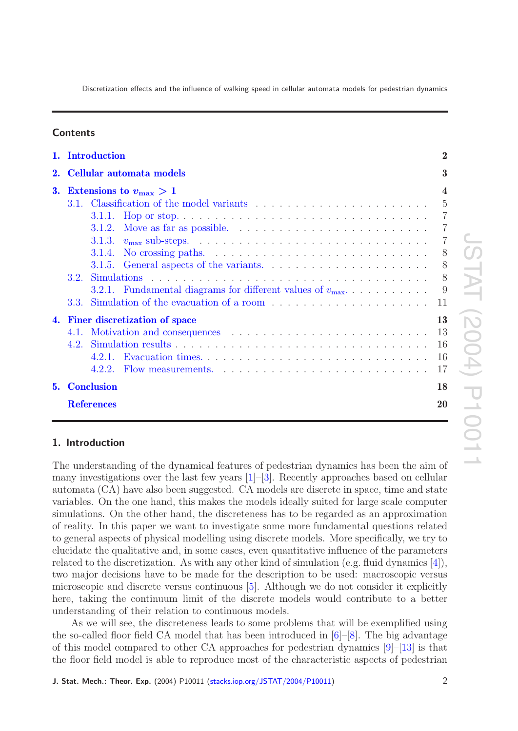# **Contents**

|    | 1. Introduction                                                   |                                                                                                              |                |  |  |
|----|-------------------------------------------------------------------|--------------------------------------------------------------------------------------------------------------|----------------|--|--|
| 2. | Cellular automata models<br>3. Extensions to $v_{\text{max}} > 1$ |                                                                                                              |                |  |  |
|    |                                                                   |                                                                                                              |                |  |  |
|    |                                                                   |                                                                                                              | $-5$           |  |  |
|    |                                                                   | Hop or stop. $\dots \dots \dots \dots \dots \dots \dots \dots \dots \dots \dots \dots \dots \dots$<br>3.1.1. | $\overline{7}$ |  |  |
|    |                                                                   | Move as far as possible. $\ldots \ldots \ldots \ldots \ldots \ldots \ldots$<br>3.1.2.                        | $\overline{7}$ |  |  |
|    |                                                                   |                                                                                                              | 7              |  |  |
|    |                                                                   | No crossing paths. $\ldots \ldots \ldots \ldots \ldots \ldots \ldots \ldots \ldots$<br>3.1.4.                | 8              |  |  |
|    |                                                                   | 3.1.5. General aspects of the variants. $\dots \dots \dots \dots \dots \dots \dots \dots$                    | - 8            |  |  |
|    | 3.2.                                                              |                                                                                                              | 8              |  |  |
|    |                                                                   | 3.2.1. Fundamental diagrams for different values of $v_{\text{max}}$                                         | - 9            |  |  |
|    | 3.3.                                                              |                                                                                                              |                |  |  |
|    |                                                                   | 4. Finer discretization of space                                                                             | 13             |  |  |
|    |                                                                   |                                                                                                              | 13             |  |  |
|    | 4.2                                                               |                                                                                                              | 16             |  |  |
|    |                                                                   | 4.2.1.                                                                                                       | 16             |  |  |
|    |                                                                   |                                                                                                              | 17             |  |  |
| 5. | <b>Conclusion</b>                                                 |                                                                                                              |                |  |  |
|    | <b>References</b>                                                 |                                                                                                              |                |  |  |

# <span id="page-1-0"></span>**1. Introduction**

The understanding of the dynamical features of pedestrian dynamics has been the aim of many investigations over the last few years [ [1\]](#page-19-2)–[ [3\]](#page-19-3). Recently approaches based on cellular automata (CA) have also been suggested. CA models are discrete in space, time and state variables. On the one hand, this makes the models ideally suited for large scale computer simulations. On the other hand, the discreteness has to be regarded as an approximation of reality. In this paper we want to investigate some more fundamental questions related to general aspects of physical modelling using discrete models. More specifically, we try to elucidate the qualitative and, in some cases, even quantitative influence of the parameters related to the discretization. As with any other kind of simulation (e.g. fluid dynamics [ [4\]](#page-19-4)), two major decisions have to be made for the description to be used: macroscopic versus microscopic and discrete versus continuous [ [5\]](#page-19-5). Although we do not consider it explicitly here, taking the continuum limit of the discrete models would contribute to a better understanding of their relation to continuous models.

As we will see, the discreteness leads to some problems that will be exemplified using the so-called floor field CA model that has been introduced in [ [6\]](#page-19-6)–[ [8\]](#page-19-7). The big advantage of this model compared to other CA approaches for pedestrian dynamics [ [9\]](#page-19-8)–[\[13\]](#page-20-0) is that the floor field model is able to reproduce most of the characteristic aspects of pedestrian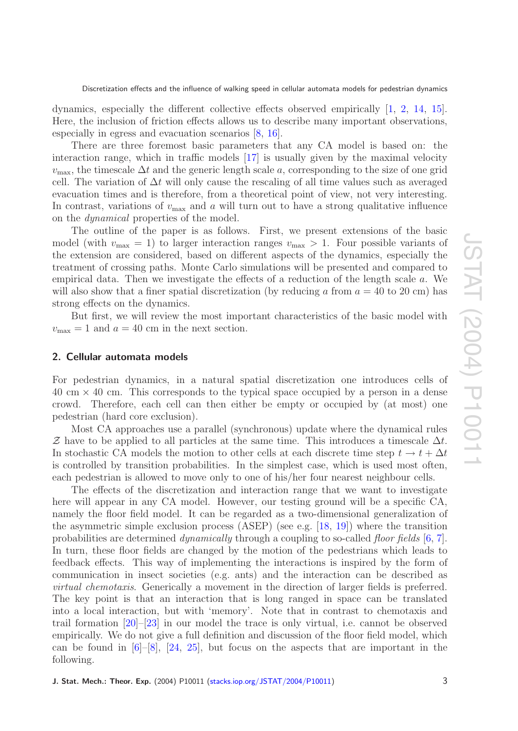dynamics, especially the different collective effects observed empirically [[1](#page-19-2), [2](#page-19-9), [14](#page-20-1), [15\]](#page-20-2). Here, the inclusion of friction effects allows us to describe many important observations, especially in egress and evacuation scenarios [ [8](#page-19-7) , [16\]](#page-20-3).

There are three foremost basic parameters that any CA model is based on: the interaction range, which in traffic models [\[17\]](#page-20-4) is usually given by the maximal velocity  $v_{\text{max}}$ , the timescale  $\Delta t$  and the generic length scale a, corresponding to the size of one grid cell. The variation of  $\Delta t$  will only cause the rescaling of all time values such as averaged evacuation times and is therefore, from a theoretical point of view, not very interesting. In contrast, variations of  $v_{\text{max}}$  and  $a$  will turn out to have a strong qualitative influence on the dynamical properties of the model.

The outline of the paper is as follows. First, we present extensions of the basic model (with  $v_{\text{max}} = 1$ ) to larger interaction ranges  $v_{\text{max}} > 1$ . Four possible variants of the extension are considered, based on different aspects of the dynamics, especially the treatment of crossing paths. Monte Carlo simulations will be presented and compared to empirical data. Then we investigate the effects of a reduction of the length scale a. We will also show that a finer spatial discretization (by reducing  $a$  from  $a = 40$  to 20 cm) has strong effects on the dynamics.

But first, we will review the most important characteristics of the basic model with  $v_{\text{max}} = 1$  and  $a = 40$  cm in the next section.

#### <span id="page-2-0"></span>**2. Cellular automata models**

For pedestrian dynamics, in a natural spatial discretization one introduces cells of 40 cm × 40 cm. This corresponds to the typical space occupied by a person in a dense crowd. Therefore, each cell can then either be empty or occupied by (at most) one pedestrian (hard core exclusion).

Most CA approaches use a parallel (synchronous) update where the dynamical rules Z have to be applied to all particles at the same time. This introduces a timescale  $\Delta t$ . In stochastic CA models the motion to other cells at each discrete time step  $t \to t + \Delta t$ is controlled by transition probabilities. In the simplest case, which is used most often, each pedestrian is allowed to move only to one of his/her four nearest neighbour cells.

The effects of the discretization and interaction range that we want to investigate here will appear in any CA model. However, our testing ground will be a specific CA, namely the floor field model. It can be regarded as a two-dimensional generalization of the asymmetric simple exclusion process (ASEP) (see e.g. [\[18](#page-20-5) , [19\]](#page-20-6)) where the transition probabilities are determined *dynamically* through a coupling to so-called *floor fields* [[6](#page-19-6), [7\]](#page-19-10). In turn, these floor fields are changed by the motion of the pedestrians which leads to feedback effects. This way of implementing the interactions is inspired by the form of communication in insect societies (e.g. ants) and the interaction can be described as virtual chemotaxis. Generically a movement in the direction of larger fields is preferred. The key point is that an interaction that is long ranged in space can be translated into a local interaction, but with 'memory'. Note that in contrast to chemotaxis and trail formation [\[20\]](#page-20-7)–[\[23\]](#page-20-8) in our model the trace is only virtual, i.e. cannot be observed empirically. We do not give a full definition and discussion of the floor field model, which can be found in  $[6]-[8]$  $[6]-[8]$  $[6]-[8]$  $[6]-[8]$ ,  $[24, 25]$  $[24, 25]$  $[24, 25]$ , but focus on the aspects that are important in the following.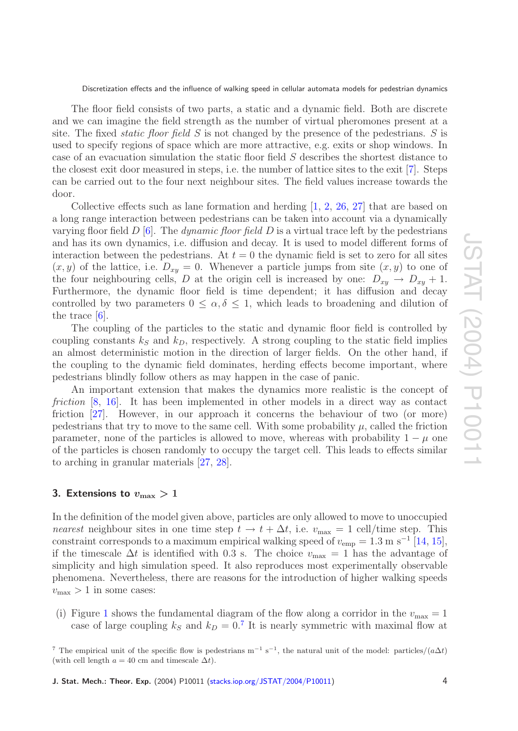The floor field consists of two parts, a static and a dynamic field. Both are discrete and we can imagine the field strength as the number of virtual pheromones present at a site. The fixed *static floor field*  $S$  is not changed by the presence of the pedestrians.  $S$  is used to specify regions of space which are more attractive, e.g. exits or shop windows. In case of an evacuation simulation the static floor field S describes the shortest distance to the closest exit door measured in steps, i.e. the number of lattice sites to the exit [ [7\]](#page-19-10). Steps can be carried out to the four next neighbour sites. The field values increase towards the door.

Collective effects such as lane formation and herding  $[1, 2, 26, 27]$  $[1, 2, 26, 27]$  $[1, 2, 26, 27]$  $[1, 2, 26, 27]$  $[1, 2, 26, 27]$  $[1, 2, 26, 27]$  $[1, 2, 26, 27]$  $[1, 2, 26, 27]$  that are based on a long range interaction between pedestrians can be taken into account via a dynamically varying floor field  $D$  [[6\]](#page-19-6). The *dynamic floor field*  $D$  is a virtual trace left by the pedestrians and has its own dynamics, i.e. diffusion and decay. It is used to model different forms of interaction between the pedestrians. At  $t = 0$  the dynamic field is set to zero for all sites  $(x, y)$  of the lattice, i.e.  $D_{xy} = 0$ . Whenever a particle jumps from site  $(x, y)$  to one of the four neighbouring cells, D at the origin cell is increased by one:  $D_{xy} \to D_{xy} + 1$ . Furthermore, the dynamic floor field is time dependent; it has diffusion and decay controlled by two parameters  $0 \leq \alpha, \delta \leq 1$ , which leads to broadening and dilution of the trace  $[6]$  $[6]$ .

The coupling of the particles to the static and dynamic floor field is controlled by coupling constants  $k<sub>S</sub>$  and  $k<sub>D</sub>$ , respectively. A strong coupling to the static field implies an almost deterministic motion in the direction of larger fields. On the other hand, if the coupling to the dynamic field dominates, herding effects become important, where pedestrians blindly follow others as may happen in the case of panic.

An important extension that makes the dynamics more realistic is the concept of friction [[8](#page-19-7), [16\]](#page-20-3). It has been implemented in other models in a direct way as contact friction [\[27\]](#page-20-12). However, in our approach it concerns the behaviour of two (or more) pedestrians that try to move to the same cell. With some probability  $\mu$ , called the friction parameter, none of the particles is allowed to move, whereas with probability  $1 - \mu$  one of the particles is chosen randomly to occupy the target cell. This leads to effects similar to arching in granular materials [\[27](#page-20-12) , [28\]](#page-20-13).

# <span id="page-3-0"></span>3. Extensions to  $v_{\rm max}>1$

In the definition of the model given above, particles are only allowed to move to unoccupied nearest neighbour sites in one time step  $t \to t + \Delta t$ , i.e.  $v_{\text{max}} = 1$  cell/time step. This constraint corresponds to a maximum empirical walking speed of  $v_{\rm emp} = 1.3$  m s<sup>-1</sup> [\[14](#page-20-1), [15\]](#page-20-2), if the timescale  $\Delta t$  is identified with 0.3 s. The choice  $v_{\text{max}} = 1$  has the advantage of simplicity and high simulation speed. It also reproduces most experimentally observable phenomena. Nevertheless, there are reasons for the introduction of higher walking speeds  $v_{\text{max}} > 1$  in some cases:

(i) Figure [1](#page-4-1) shows the fundamental diagram of the flow along a corridor in the  $v_{\text{max}} = 1$ case of large coupling  $k_S$  and  $k_D = 0$ .<sup>[7](#page-3-1)</sup> It is nearly symmetric with maximal flow at

<span id="page-3-1"></span><sup>&</sup>lt;sup>7</sup> The empirical unit of the specific flow is pedestrians  $m^{-1} s^{-1}$ , the natural unit of the model: particles/( $a\Delta t$ ) (with cell length  $a = 40$  cm and timescale  $\Delta t$ ).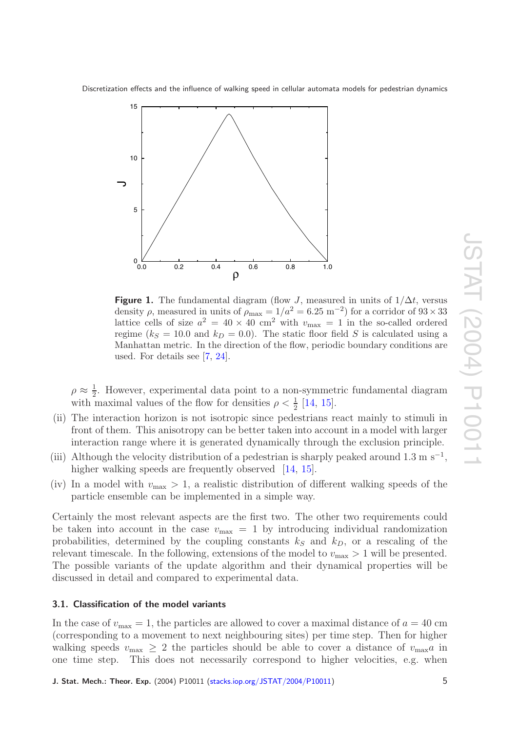<span id="page-4-1"></span>

**Figure 1.** The fundamental diagram (flow J, measured in units of  $1/\Delta t$ , versus density  $\rho$ , measured in units of  $\rho_{\text{max}} = 1/a^2 = 6.25 \text{ m}^{-2}$  for a corridor of  $93 \times 33$ lattice cells of size  $a^2 = 40 \times 40$  cm<sup>2</sup> with  $v_{\text{max}} = 1$  in the so-called ordered regime ( $k_S = 10.0$  and  $k_D = 0.0$ ). The static floor field S is calculated using a Manhattan metric. In the direction of the flow, periodic boundary conditions are used. For details see [ [7](#page-19-10) , [24\]](#page-20-9).

 $\rho \approx \frac{1}{2}$ . However, experimental data point to a non-symmetric fundamental diagram with maximal values of the flow for densities  $\rho < \frac{1}{2}$  [\[14](#page-20-1), [15\]](#page-20-2).

- (ii) The interaction horizon is not isotropic since pedestrians react mainly to stimuli in front of them. This anisotropy can be better taken into account in a model with larger interaction range where it is generated dynamically through the exclusion principle.
- (iii) Although the velocity distribution of a pedestrian is sharply peaked around 1.3 m s<sup>-1</sup>, higher walking speeds are frequently observed [\[14](#page-20-1), [15\]](#page-20-2).
- (iv) In a model with  $v_{\text{max}} > 1$ , a realistic distribution of different walking speeds of the particle ensemble can be implemented in a simple way.

Certainly the most relevant aspects are the first two. The other two requirements could be taken into account in the case  $v_{\text{max}} = 1$  by introducing individual randomization probabilities, determined by the coupling constants  $k<sub>S</sub>$  and  $k<sub>D</sub>$ , or a rescaling of the relevant timescale. In the following, extensions of the model to  $v_{\text{max}} > 1$  will be presented. The possible variants of the update algorithm and their dynamical properties will be discussed in detail and compared to experimental data.

# <span id="page-4-0"></span>**3.1. Classification of the model variants**

In the case of  $v_{\text{max}} = 1$ , the particles are allowed to cover a maximal distance of  $a = 40$  cm (corresponding to a movement to next neighbouring sites) per time step. Then for higher walking speeds  $v_{\text{max}} \geq 2$  the particles should be able to cover a distance of  $v_{\text{max}}$  in one time step. This does not necessarily correspond to higher velocities, e.g. when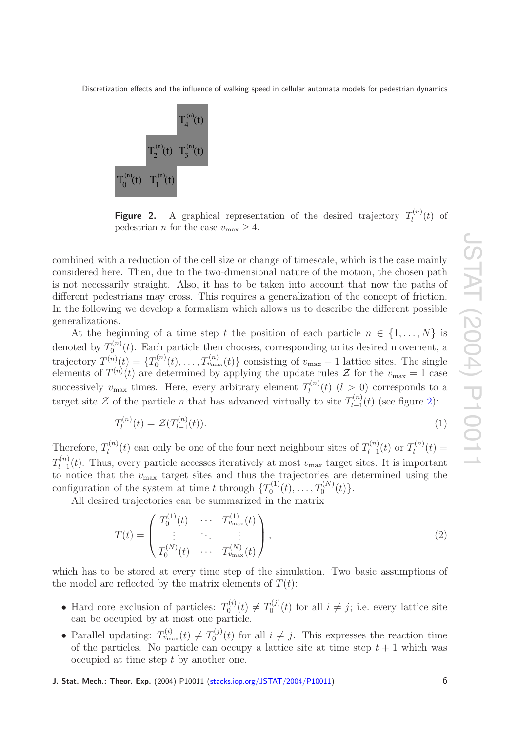<span id="page-5-0"></span>

|                               | $T_4^{(n)}(t)$ |  |
|-------------------------------|----------------|--|
| $T_2^{(n)}(t)$ $T_3^{(n)}(t)$ |                |  |
| $T_0^{(n)}(t)$ $T_1^{(n)}(t)$ |                |  |

**Figure 2.** A graphical representation of the desired trajectory  $T_l^{(n)}$  $\int_l^{(n)}(t)$  of pedestrian *n* for the case  $v_{\text{max}} \geq 4$ .

combined with a reduction of the cell size or change of timescale, which is the case mainly considered here. Then, due to the two-dimensional nature of the motion, the chosen path is not necessarily straight. Also, it has to be taken into account that now the paths of different pedestrians may cross. This requires a generalization of the concept of friction. In the following we develop a formalism which allows us to describe the different possible generalizations.

At the beginning of a time step t the position of each particle  $n \in \{1, \ldots, N\}$  is denoted by  $T_0^{(n)}$  $C_0^{(n)}(t)$ . Each particle then chooses, corresponding to its desired movement, a trajectory  $T^{(n)}(t) = \{T_0^{(n)}\}$  $U_0^{(n)}(t), \ldots, T_{v_{\text{max}}}^{(n)}(t)$ } consisting of  $v_{\text{max}} + 1$  lattice sites. The single elements of  $T^{(n)}(t)$  are determined by applying the update rules  $\mathcal{Z}$  for the  $v_{\text{max}} = 1$  case successively  $v_{\text{max}}$  times. Here, every arbitrary element  $T_l^{(n)}$  $l_l^{(n)}(t)$   $(l > 0)$  corresponds to a target site  $\mathcal Z$  of the particle *n* that has advanced virtually to site  $T_{l-1}^{(n)}$  $\int_{l-1}^{l(n)}(t)$  (see figure [2\)](#page-5-0):

$$
T_l^{(n)}(t) = \mathcal{Z}(T_{l-1}^{(n)}(t)).
$$
\n(1)

Therefore,  $T_l^{(n)}$  $I_l^{(n)}(t)$  can only be one of the four next neighbour sites of  $T_{l-1}^{(n)}$  $T^{(n)}_{l-1}(t)$  or  $T^{(n)}_l$  $l_l^{(n)}(t) =$  $T_{l-1}^{(n)}$  $v_{l-1}^{(n)}(t)$ . Thus, every particle accesses iteratively at most  $v_{\text{max}}$  target sites. It is important to notice that the  $v_{\text{max}}$  target sites and thus the trajectories are determined using the configuration of the system at time t through  $\{T_0^{(1)}(t),...,T_0^{(N)}\}$  $\binom{N}{0}(t).$ 

All desired trajectories can be summarized in the matrix

$$
T(t) = \begin{pmatrix} T_0^{(1)}(t) & \cdots & T_{v_{\text{max}}}^{(1)}(t) \\ \vdots & \ddots & \vdots \\ T_0^{(N)}(t) & \cdots & T_{v_{\text{max}}}^{(N)}(t) \end{pmatrix},
$$
\n(2)

which has to be stored at every time step of the simulation. Two basic assumptions of the model are reflected by the matrix elements of  $T(t)$ :

- Hard core exclusion of particles:  $T_0^{(i)}$  $T_0^{(i)}(t) \neq T_0^{(j)}$  $j_0^{(j)}(t)$  for all  $i \neq j$ ; i.e. every lattice site can be occupied by at most one particle.
- Parallel updating:  $T_{v_{\text{max}}}^{(i)}(t) \neq T_0^{(j)}$  $j_0^{(j)}(t)$  for all  $i \neq j$ . This expresses the reaction time of the particles. No particle can occupy a lattice site at time step  $t + 1$  which was occupied at time step t by another one.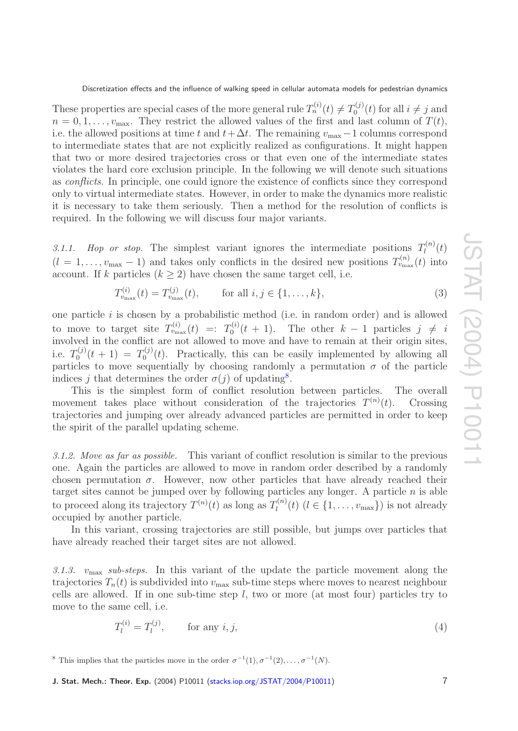These properties are special cases of the more general rule  $T_n^{(i)}(t) \neq T_0^{(j)}$  $j_0^{(j)}(t)$  for all  $i \neq j$  and  $n = 0, 1, \ldots, v_{\text{max}}$ . They restrict the allowed values of the first and last column of  $T(t)$ , i.e. the allowed positions at time t and  $t + \Delta t$ . The remaining  $v_{\text{max}} - 1$  columns correspond to intermediate states that are not explicitly realized as configurations. It might happen that two or more desired trajectories cross or that even one of the intermediate states violates the hard core exclusion principle. In the following we will denote such situations as conflicts. In principle, one could ignore the existence of conflicts since they correspond only to virtual intermediate states. However, in order to make the dynamics more realistic it is necessary to take them seriously. Then a method for the resolution of conflicts is required. In the following we will discuss four major variants.

<span id="page-6-0"></span>3.1.1. Hop or stop. The simplest variant ignores the intermediate positions  $T_l^{(n)}$  $l^{(n)}(t)$  $(l = 1, \ldots, v_{\text{max}} - 1)$  and takes only conflicts in the desired new positions  $T_{v_{\text{max}}}^{(n)}(t)$  into account. If k particles  $(k \geq 2)$  have chosen the same target cell, i.e.

$$
T_{v_{\text{max}}}^{(i)}(t) = T_{v_{\text{max}}}^{(j)}(t), \qquad \text{for all } i, j \in \{1, \dots, k\},
$$
\n(3)

one particle *i* is chosen by a probabilistic method (i.e. in random order) and is allowed to move to target site  $T_{v_{\text{max}}}^{(i)}(t) =: T_0^{(i)}$  $t^{(i)}(t+1)$ . The other  $k-1$  particles  $j \neq i$ involved in the conflict are not allowed to move and have to remain at their origin sites, i.e.  $T_0^{(j)}$  $T_0^{(j)}(t+1) = T_0^{(j)}$  $t_0^{(0)}(t)$ . Practically, this can be easily implemented by allowing all particles to move sequentially by choosing randomly a permutation  $\sigma$  of the particle indices j that determines the order  $\sigma(j)$  of updating<sup>[8](#page-6-3)</sup>.

This is the simplest form of conflict resolution between particles. The overall movement takes place without consideration of the trajectories  $T^{(n)}$ t). Crossing trajectories and jumping over already advanced particles are permitted in order to keep the spirit of the parallel updating scheme.

<span id="page-6-1"></span>*3.1.2. Move as far as possible.* This variant of conflict resolution is similar to the previous one. Again the particles are allowed to move in random order described by a randomly chosen permutation  $\sigma$ . However, now other particles that have already reached their target sites cannot be jumped over by following particles any longer. A particle  $n$  is able to proceed along its trajectory  $T^{(n)}(t)$  as long as  $T_l^{(n)}$  $l_l^{(n)}(t)$   $(l \in \{1, \ldots, v_{\text{max}}\})$  is not already occupied by another particle.

In this variant, crossing trajectories are still possible, but jumps over particles that have already reached their target sites are not allowed.

<span id="page-6-2"></span>*3.1.3.* vmax *sub-steps.* In this variant of the update the particle movement along the trajectories  $T_n(t)$  is subdivided into  $v_{\text{max}}$  sub-time steps where moves to nearest neighbour cells are allowed. If in one sub-time step l, two or more (at most four) particles try to move to the same cell, i.e.

$$
T_l^{(i)} = T_l^{(j)}, \qquad \text{for any } i, j,
$$
\n
$$
(4)
$$

<span id="page-6-3"></span><sup>8</sup> This implies that the particles move in the order  $\sigma^{-1}(1), \sigma^{-1}(2), \ldots, \sigma^{-1}(N)$ .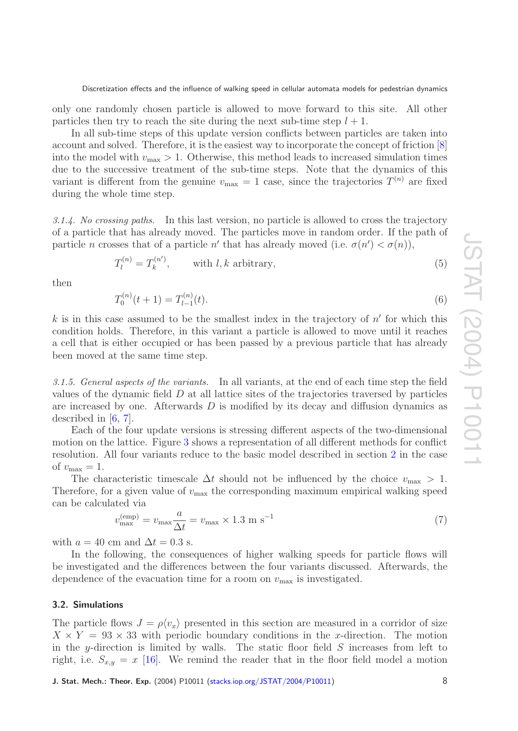only one randomly chosen particle is allowed to move forward to this site. All other particles then try to reach the site during the next sub-time step  $l + 1$ .

In all sub-time steps of this update version conflicts between particles are taken into account and solved. Therefore, it is the easiest way to incorporate the concept of friction  $[8]$  $[8]$  $[8]$ into the model with  $v_{\text{max}} > 1$ . Otherwise, this method leads to increased simulation times due to the successive treatment of the sub-time steps. Note that the dynamics of this variant is different from the genuine  $v_{\text{max}} = 1$  case, since the trajectories  $T^{(n)}$  are fixed during the whole time step.

<span id="page-7-0"></span>*3.1.4. No crossing paths.* In this last version, no particle is allowed to cross the trajectory of a particle that has already moved. The particles move in random order. If the path of particle *n* crosses that of a particle *n'* that has already moved (i.e.  $\sigma(n') < \sigma(n)$ ),

$$
T_l^{(n)} = T_k^{(n')}, \qquad \text{with } l, k \text{ arbitrary}, \tag{5}
$$

then

$$
T_0^{(n)}(t+1) = T_{l-1}^{(n)}(t). \tag{6}
$$

k is in this case assumed to be the smallest index in the trajectory of  $n'$  for which this condition holds. Therefore, in this variant a particle is allowed to move until it reaches a cell that is either occupied or has been passed by a previous particle that has already been moved at the same time step.

<span id="page-7-1"></span>*3.1.5. General aspects of the variants.* In all variants, at the end of each time step the field values of the dynamic field  $D$  at all lattice sites of the trajectories traversed by particles are increased by one. Afterwards D is modified by its decay and diffusion dynamics as described in  $[6, 7]$  $[6, 7]$  $[6, 7]$  $[6, 7]$ .

Each of the four update versions is stressing different aspects of the two-dimensional motion on the lattice. Figure [3](#page-8-1) shows a representation of all different methods for conflict resolution. All four variants reduce to the basic model described in section [2](#page-2-0) in the case of  $v_{\text{max}} = 1$ .

The characteristic timescale  $\Delta t$  should not be influenced by the choice  $v_{\text{max}} > 1$ . Therefore, for a given value of  $v_{\text{max}}$  the corresponding maximum empirical walking speed can be calculated via

<span id="page-7-3"></span>
$$
v_{\text{max}}^{(\text{emp})} = v_{\text{max}} \frac{a}{\Delta t} = v_{\text{max}} \times 1.3 \text{ m s}^{-1} \tag{7}
$$

with  $a = 40$  cm and  $\Delta t = 0.3$  s.

In the following, the consequences of higher walking speeds for particle flows will be investigated and the differences between the four variants discussed. Afterwards, the dependence of the evacuation time for a room on  $v_{\text{max}}$  is investigated.

## <span id="page-7-2"></span>**3.2. Simulations**

The particle flows  $J = \rho \langle v_x \rangle$  presented in this section are measured in a corridor of size  $X \times Y = 93 \times 33$  with periodic boundary conditions in the x-direction. The motion in the y-direction is limited by walls. The static floor field S increases from left to right, i.e.  $S_{x,y} = x$  [\[16\]](#page-20-3). We remind the reader that in the floor field model a motion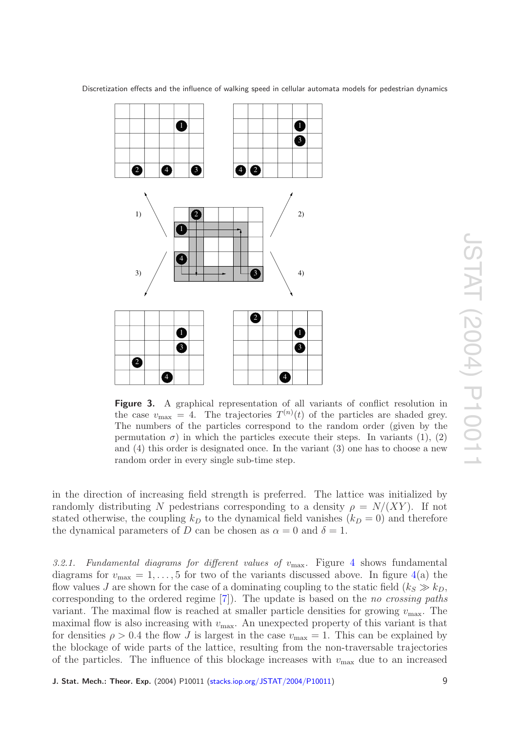<span id="page-8-1"></span>

Figure 3. A graphical representation of all variants of conflict resolution in the case  $v_{\text{max}} = 4$ . The trajectories  $T^{(n)}(t)$  of the particles are shaded grey. The numbers of the particles correspond to the random order (given by the permutation  $\sigma$ ) in which the particles execute their steps. In variants (1), (2) and (4) this order is designated once. In the variant (3) one has to choose a new random order in every single sub-time step.

in the direction of increasing field strength is preferred. The lattice was initialized by randomly distributing N pedestrians corresponding to a density  $\rho = N/(XY)$ . If not stated otherwise, the coupling  $k_D$  to the dynamical field vanishes  $(k_D = 0)$  and therefore the dynamical parameters of D can be chosen as  $\alpha = 0$  and  $\delta = 1$ .

<span id="page-8-0"></span>3.2.1. Fundamental diagrams for different values of  $v_{\text{max}}$ . Figure [4](#page-9-0) shows fundamental diagrams for  $v_{\text{max}} = 1, \ldots, 5$  for two of the variants discussed above. In figure [4\(](#page-9-0)a) the flow values *J* are shown for the case of a dominating coupling to the static field  $(k_S \gg k_D,$ corresponding to the ordered regime [[7\]](#page-19-10)). The update is based on the no crossing paths variant. The maximal flow is reached at smaller particle densities for growing  $v_{\text{max}}$ . The maximal flow is also increasing with  $v_{\text{max}}$ . An unexpected property of this variant is that for densities  $\rho > 0.4$  the flow J is largest in the case  $v_{\text{max}} = 1$ . This can be explained by the blockage of wide parts of the lattice, resulting from the non-traversable trajectories of the particles. The influence of this blockage increases with  $v_{\text{max}}$  due to an increased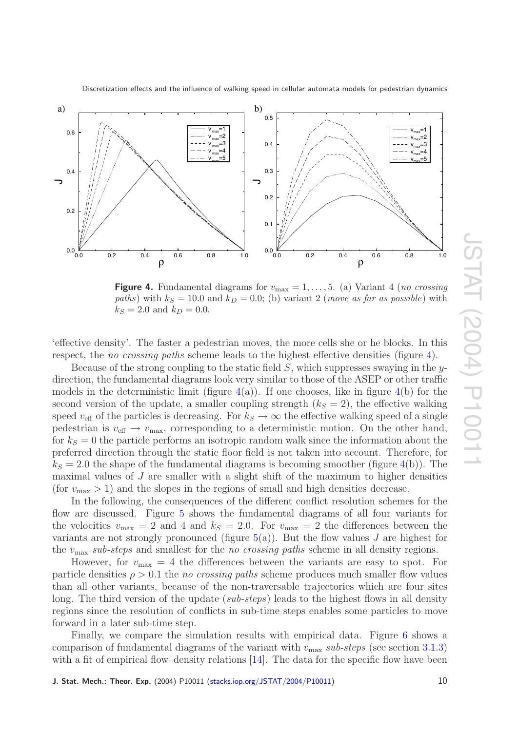

<span id="page-9-0"></span>

**Figure 4.** Fundamental diagrams for  $v_{\text{max}} = 1, \ldots, 5$ . (a) Variant 4 (*no crossing* paths) with  $k_S = 10.0$  and  $k_D = 0.0$ ; (b) variant 2 (*move as far as possible*) with  $k_S = 2.0$  and  $k_D = 0.0$ .

'effective density'. The faster a pedestrian moves, the more cells she or he blocks. In this respect, the *no crossing paths* scheme leads to the highest effective densities (figure [4\)](#page-9-0).

Because of the strong coupling to the static field  $S$ , which suppresses swaying in the ydirection, the fundamental diagrams look very similar to those of the ASEP or other traffic models in the deterministic limit (figure  $4(a)$  $4(a)$ ). If one chooses, like in figure  $4(b)$  for the second version of the update, a smaller coupling strength  $(k<sub>S</sub> = 2)$ , the effective walking speed  $v_{\text{eff}}$  of the particles is decreasing. For  $k_S \to \infty$  the effective walking speed of a single pedestrian is  $v_{\text{eff}} \to v_{\text{max}}$ , corresponding to a deterministic motion. On the other hand, for  $k_S = 0$  the particle performs an isotropic random walk since the information about the preferred direction through the static floor field is not taken into account. Therefore, for  $k<sub>S</sub> = 2.0$  the shape of the fundamental diagrams is becoming smoother (figure [4\(](#page-9-0)b)). The maximal values of J are smaller with a slight shift of the maximum to higher densities (for  $v_{\text{max}} > 1$ ) and the slopes in the regions of small and high densities decrease.

In the following, the consequences of the different conflict resolution schemes for the flow are discussed. Figure [5](#page-10-1) shows the fundamental diagrams of all four variants for the velocities  $v_{\text{max}} = 2$  and 4 and  $k_s = 2.0$ . For  $v_{\text{max}} = 2$  the differences between the variants are not strongly pronounced (figure  $5(a)$  $5(a)$ ). But the flow values J are highest for the  $v_{\text{max}}$  sub-steps and smallest for the no crossing paths scheme in all density regions.

However, for  $v_{\text{max}} = 4$  the differences between the variants are easy to spot. For particle densities  $\rho > 0.1$  the no crossing paths scheme produces much smaller flow values than all other variants, because of the non-traversable trajectories which are four sites long. The third version of the update (sub-steps) leads to the highest flows in all density regions since the resolution of conflicts in sub-time steps enables some particles to move forward in a later sub-time step.

Finally, we compare the simulation results with empirical data. Figure [6](#page-11-0) shows a comparison of fundamental diagrams of the variant with  $v_{\text{max}}$  sub-steps (see section [3.1.3](#page-6-2)) with a fit of empirical flow-density relations [\[14\]](#page-20-1). The data for the specific flow have been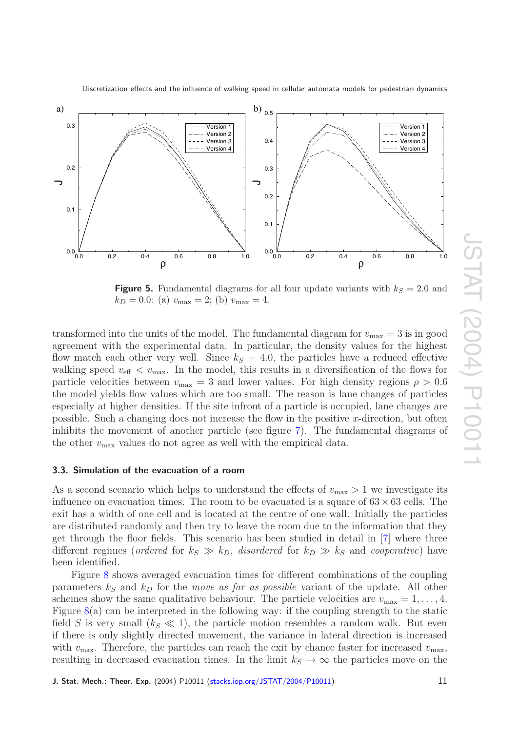

<span id="page-10-1"></span>

**Figure 5.** Fundamental diagrams for all four update variants with  $k_S = 2.0$  and  $k_D = 0.0$ : (a)  $v_{\text{max}} = 2$ ; (b)  $v_{\text{max}} = 4$ .

transformed into the units of the model. The fundamental diagram for  $v_{\text{max}} = 3$  is in good agreement with the experimental data. In particular, the density values for the highest flow match each other very well. Since  $k<sub>S</sub> = 4.0$ , the particles have a reduced effective walking speed  $v_{\text{eff}} < v_{\text{max}}$ . In the model, this results in a diversification of the flows for particle velocities between  $v_{\text{max}} = 3$  and lower values. For high density regions  $\rho > 0.6$ the model yields flow values which are too small. The reason is lane changes of particles especially at higher densities. If the site infront of a particle is occupied, lane changes are possible. Such a changing does not increase the flow in the positive x-direction, but often inhibits the movement of another particle (see figure [7\)](#page-11-1). The fundamental diagrams of the other  $v_{\text{max}}$  values do not agree as well with the empirical data.

#### <span id="page-10-0"></span>**3.3. Simulation of the evacuation of a room**

As a second scenario which helps to understand the effects of  $v_{\text{max}} > 1$  we investigate its influence on evacuation times. The room to be evacuated is a square of  $63 \times 63$  cells. The exit has a width of one cell and is located at the centre of one wall. Initially the particles are distributed randomly and then try to leave the room due to the information that they get through the floor fields. This scenario has been studied in detail in [ [7\]](#page-19-10) where three different regimes (*ordered* for  $k_S \gg k_D$ , *disordered* for  $k_D \gg k_S$  and *cooperative*) have been identified.

Figure [8](#page-12-2) shows averaged evacuation times for different combinations of the coupling parameters  $k<sub>S</sub>$  and  $k<sub>D</sub>$  for the *move as far as possible* variant of the update. All other schemes show the same qualitative behaviour. The particle velocities are  $v_{\text{max}} = 1, \ldots, 4$ . Figure  $8(a)$  $8(a)$  can be interpreted in the following way: if the coupling strength to the static field S is very small  $(k_S \ll 1)$ , the particle motion resembles a random walk. But even if there is only slightly directed movement, the variance in lateral direction is increased with  $v_{\text{max}}$ . Therefore, the particles can reach the exit by chance faster for increased  $v_{\text{max}}$ , resulting in decreased evacuation times. In the limit  $k_S \to \infty$  the particles move on the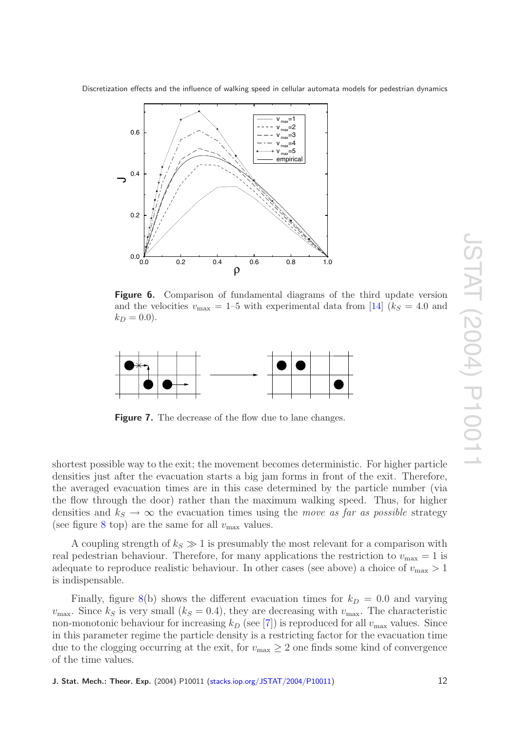<span id="page-11-0"></span>

**Figure 6.** Comparison of fundamental diagrams of the third update version and the velocities  $v_{\text{max}} = 1$ –5 with experimental data from [\[14\]](#page-20-1) ( $k_S = 4.0$  and  $k_D = 0.0$ ).

<span id="page-11-1"></span>

**Figure 7.** The decrease of the flow due to lane changes.

shortest possible way to the exit; the movement becomes deterministic. For higher particle densities just after the evacuation starts a big jam forms in front of the exit. Therefore, the averaged evacuation times are in this case determined by the particle number (via the flow through the door) rather than the maximum walking speed. Thus, for higher densities and  $k_S \to \infty$  the evacuation times using the *move as far as possible* strategy (see figure [8](#page-12-2) top) are the same for all  $v_{\text{max}}$  values.

A coupling strength of  $k_s \gg 1$  is presumably the most relevant for a comparison with real pedestrian behaviour. Therefore, for many applications the restriction to  $v_{\text{max}} = 1$  is adequate to reproduce realistic behaviour. In other cases (see above) a choice of  $v_{\text{max}} > 1$ is indispensable.

Finally, figure  $8(b)$  $8(b)$  shows the different evacuation times for  $k_D = 0.0$  and varying  $v_{\text{max}}$ . Since  $k_S$  is very small  $(k_S = 0.4)$ , they are decreasing with  $v_{\text{max}}$ . The characteristic non-monotonic behaviour for increasing  $k_D$  (see [[7\]](#page-19-10)) is reproduced for all  $v_{\text{max}}$  values. Since in this parameter regime the particle density is a restricting factor for the evacuation time due to the clogging occurring at the exit, for  $v_{\text{max}} \geq 2$  one finds some kind of convergence of the time values.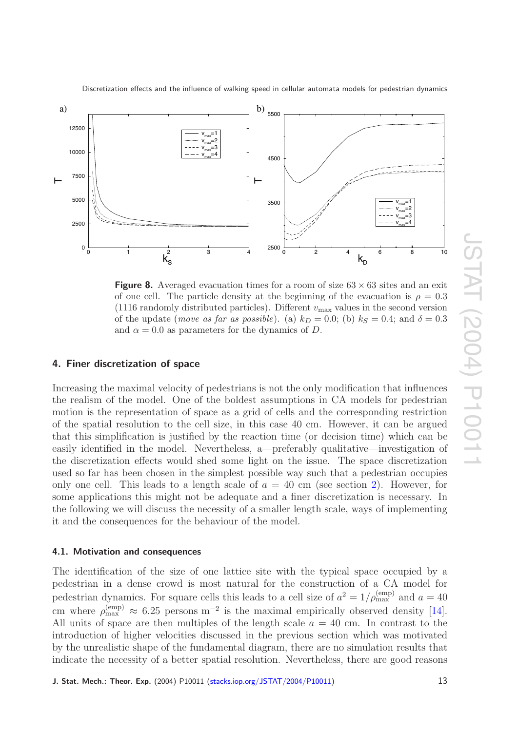<span id="page-12-2"></span>

 $\vdash$ 

Discretization effects and the influence of walking speed in cellular automata models for pedestrian dynamics

**Figure 8.** Averaged evacuation times for a room of size  $63 \times 63$  sites and an exit of one cell. The particle density at the beginning of the evacuation is  $\rho = 0.3$ (1116 randomly distributed particles). Different  $v_{\text{max}}$  values in the second version of the update (*move as far as possible*). (a)  $k_D = 0.0$ ; (b)  $k_S = 0.4$ ; and  $\delta = 0.3$ and  $\alpha = 0.0$  as parameters for the dynamics of D.

2500

3500

0 2 4 6 8 10

 $v_{\text{max}}$ =1  $v_{\text{max}}$ =2  $v_{\rm max}$ =3  $v_{\text{max}}$ =4

# <span id="page-12-0"></span>**4. Finer discretization of space**

0

2500

5000

7500

 $\vdash$ 

0 1  $k_S^2$  3 4

Increasing the maximal velocity of pedestrians is not the only modification that influences the realism of the model. One of the boldest assumptions in CA models for pedestrian motion is the representation of space as a grid of cells and the corresponding restriction of the spatial resolution to the cell size, in this case 40 cm. However, it can be argued that this simplification is justified by the reaction time (or decision time) which can be easily identified in the model. Nevertheless, a—preferably qualitative—investigation of the discretization effects would shed some light on the issue. The space discretization used so far has been chosen in the simplest possible way such that a pedestrian occupies only one cell. This leads to a length scale of  $a = 40$  cm (see section [2\)](#page-2-0). However, for some applications this might not be adequate and a finer discretization is necessary. In the following we will discuss the necessity of a smaller length scale, ways of implementing it and the consequences for the behaviour of the model.

#### <span id="page-12-1"></span>**4.1. Motivation and consequences**

The identification of the size of one lattice site with the typical space occupied by a pedestrian in a dense crowd is most natural for the construction of a CA model for pedestrian dynamics. For square cells this leads to a cell size of  $a^2 = 1/\rho_{\text{max}}^{\text{(emp)}}$  and  $a = 40$ cm where  $\rho_{\text{max}}^{(\text{emp})} \approx 6.25$  persons m<sup>-2</sup> is the maximal empirically observed density [\[14\]](#page-20-1). All units of space are then multiples of the length scale  $a = 40$  cm. In contrast to the introduction of higher velocities discussed in the previous section which was motivated by the unrealistic shape of the fundamental diagram, there are no simulation results that indicate the necessity of a better spatial resolution. Nevertheless, there are good reasons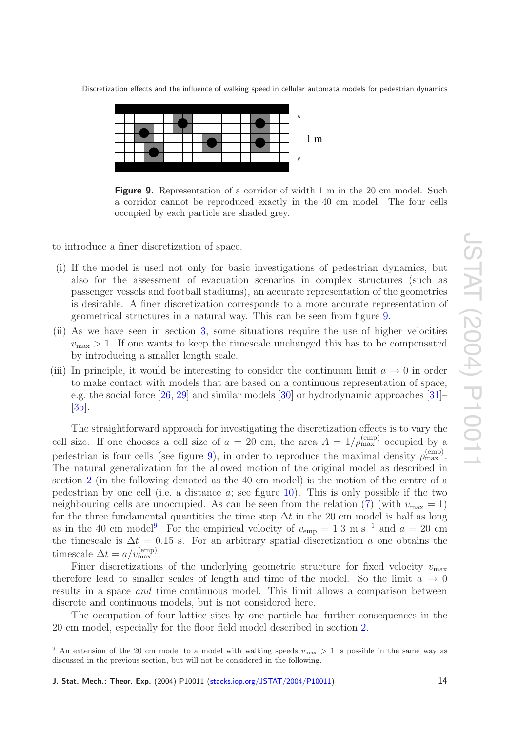<span id="page-13-0"></span>

**Figure 9.** Representation of a corridor of width 1 m in the 20 cm model. Such a corridor cannot be reproduced exactly in the 40 cm model. The four cells occupied by each particle are shaded grey.

to introduce a finer discretization of space.

- (i) If the model is used not only for basic investigations of pedestrian dynamics, but also for the assessment of evacuation scenarios in complex structures (such as passenger vessels and football stadiums), an accurate representation of the geometries is desirable. A finer discretization corresponds to a more accurate representation of geometrical structures in a natural way. This can be seen from figure [9](#page-13-0) .
- (ii) As we have seen in section [3,](#page-3-0) some situations require the use of higher velocities  $v_{\text{max}} > 1$ . If one wants to keep the timescale unchanged this has to be compensated by introducing a smaller length scale.
- (iii) In principle, it would be interesting to consider the continuum limit  $a \to 0$  in order to make contact with models that are based on a continuous representation of space, e.g. the social force [\[26](#page-20-11), [29\]](#page-20-14) and similar models [\[30\]](#page-20-15) or hydrodynamic approaches [\[31\]](#page-20-16)– [\[35\]](#page-20-17).

The straightforward approach for investigating the discretization effects is to vary the cell size. If one chooses a cell size of  $a = 20$  cm, the area  $A = 1/\rho_{\text{max}}^{\text{(emp)}}$  occupied by a pedestrian is four cells (see figure [9\)](#page-13-0), in order to reproduce the maximal density  $\rho_{\text{max}}^{(\text{emp})}$ . The natural generalization for the allowed motion of the original model as described in section [2](#page-2-0) (in the following denoted as the 40 cm model) is the motion of the centre of a pedestrian by one cell (i.e. a distance a; see figure [10\)](#page-14-0). This is only possible if the two neighbouring cells are unoccupied. As can be seen from the relation  $(7)$  $(7)$  (with  $v_{\text{max}} = 1$ ) for the three fundamental quantities the time step  $\Delta t$  in the 20 cm model is half as long as in the 40 cm model<sup>[9](#page-13-1)</sup>. For the empirical velocity of  $v_{\rm emp} = 1.3 \text{ m s}^{-1}$  and  $a = 20 \text{ cm}$ the timescale is  $\Delta t = 0.15$  s. For an arbitrary spatial discretization a one obtains the timescale  $\Delta t = a/v_{\text{max}}^{\text{(emp)}}$ .

Finer discretizations of the underlying geometric structure for fixed velocity  $v_{\text{max}}$ therefore lead to smaller scales of length and time of the model. So the limit  $a \to 0$ results in a space and time continuous model. This limit allows a comparison between discrete and continuous models, but is not considered here.

The occupation of four lattice sites by one particle has further consequences in the 20 cm model, especially for the floor field model described in section [2](#page-2-0) .

<span id="page-13-1"></span><sup>&</sup>lt;sup>9</sup> An extension of the 20 cm model to a model with walking speeds  $v_{\text{max}} > 1$  is possible in the same way as discussed in the previous section, but will not be considered in the following.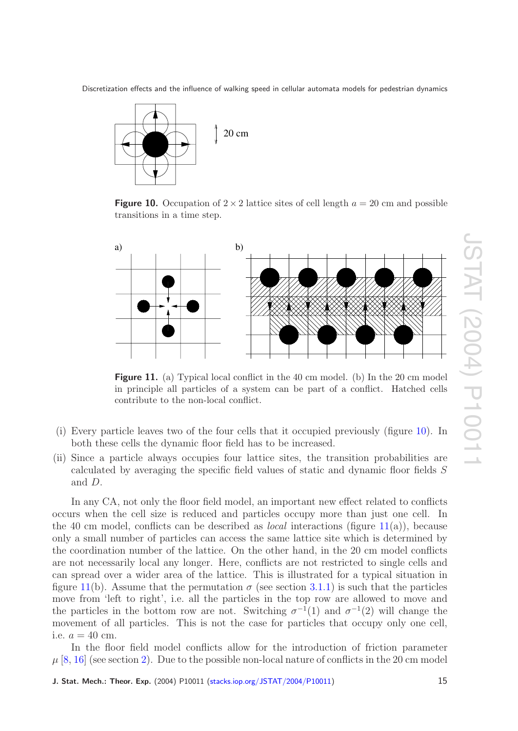<span id="page-14-0"></span>

**Figure 10.** Occupation of  $2 \times 2$  lattice sites of cell length  $a = 20$  cm and possible transitions in a time step.

<span id="page-14-1"></span>

**Figure 11.** (a) Typical local conflict in the 40 cm model. (b) In the 20 cm model in principle all particles of a system can be part of a conflict. Hatched cells contribute to the non-local conflict.

- (i) Every particle leaves two of the four cells that it occupied previously (figure [10\)](#page-14-0). In both these cells the dynamic floor field has to be increased.
- (ii) Since a particle always occupies four lattice sites, the transition probabilities are calculated by averaging the specific field values of static and dynamic floor fields S and D .

In any CA, not only the floor field model, an important new effect related to conflicts occurs when the cell size is reduced and particles occupy more than just one cell. In the 40 cm model, conflicts can be described as *local* interactions (figure [11\(](#page-14-1)a)), because only a small number of particles can access the same lattice site which is determined by the coordination number of the lattice. On the other hand, in the 20 cm model conflicts are not necessarily local any longer. Here, conflicts are not restricted to single cells and can spread over a wider area of the lattice. This is illustrated for a typical situation in figure [11\(](#page-14-1)b). Assume that the permutation  $\sigma$  (see section [3.1.1\)](#page-6-0) is such that the particles move from 'left to right', i.e. all the particles in the top row are allowed to move and the particles in the bottom row are not. Switching  $\sigma^{-1}(1)$  and  $\sigma^{-1}(2)$  will change the movement of all particles. This is not the case for particles that occupy only one cell, i.e.  $a = 40 \text{ cm}$ .

In the floor field model conflicts allow for the introduction of friction parameter  $\mu \left[ 8, 16\right]$  $\mu \left[ 8, 16\right]$  $\mu \left[ 8, 16\right]$  (see section [2\)](#page-2-0). Due to the possible non-local nature of conflicts in the 20 cm model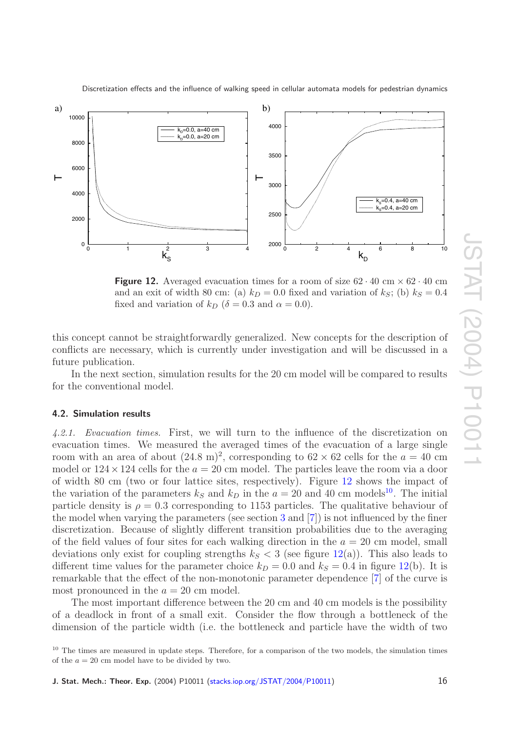

<span id="page-15-2"></span>

**Figure 12.** Averaged evacuation times for a room of size  $62 \cdot 40 \text{ cm} \times 62 \cdot 40 \text{ cm}$ and an exit of width 80 cm: (a)  $k_D = 0.0$  fixed and variation of  $k_S$ ; (b)  $k_S = 0.4$ fixed and variation of  $k_D$  ( $\delta = 0.3$  and  $\alpha = 0.0$ ).

this concept cannot be straightforwardly generalized. New concepts for the description of conflicts are necessary, which is currently under investigation and will be discussed in a future publication.

In the next section, simulation results for the 20 cm model will be compared to results for the conventional model.

#### <span id="page-15-1"></span><span id="page-15-0"></span>**4.2. Simulation results**

*4.2.1. Evacuation times.* First, we will turn to the influence of the discretization on evacuation times. We measured the averaged times of the evacuation of a large single room with an area of about  $(24.8 \text{ m})^2$ , corresponding to  $62 \times 62$  cells for the  $a = 40 \text{ cm}$ model or  $124 \times 124$  cells for the  $a = 20$  cm model. The particles leave the room via a door of width 80 cm (two or four lattice sites, respectively). Figure [12](#page-15-2) shows the impact of the variation of the parameters  $k_S$  and  $k_D$  in the  $a = 20$  and 40 cm models<sup>[10](#page-15-3)</sup>. The initial particle density is  $\rho = 0.3$  corresponding to 1153 particles. The qualitative behaviour of the model when varying the parameters (see section [3](#page-3-0) and [ [7\]](#page-19-10)) is not influenced by the finer discretization. Because of slightly different transition probabilities due to the averaging of the field values of four sites for each walking direction in the  $a = 20$  cm model, small deviations only exist for coupling strengths  $k_S < 3$  (see figure [12\(](#page-15-2)a)). This also leads to different time values for the parameter choice  $k_D = 0.0$  and  $k_S = 0.4$  in figure [12\(](#page-15-2)b). It is remarkable that the effect of the non-monotonic parameter dependence [ [7\]](#page-19-10) of the curve is most pronounced in the  $a = 20$  cm model.

The most important difference between the 20 cm and 40 cm models is the possibility of a deadlock in front of a small exit. Consider the flow through a bottleneck of the dimension of the particle width (i.e. the bottleneck and particle have the width of two

<span id="page-15-3"></span><sup>&</sup>lt;sup>10</sup> The times are measured in update steps. Therefore, for a comparison of the two models, the simulation times of the  $a = 20$  cm model have to be divided by two.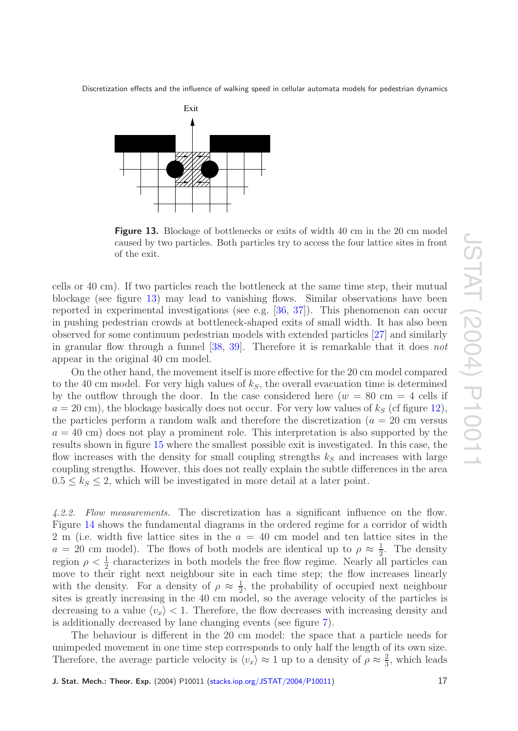<span id="page-16-1"></span>

**Figure 13.** Blockage of bottlenecks or exits of width 40 cm in the 20 cm model caused by two particles. Both particles try to access the four lattice sites in front of the exit.

cells or 40 cm). If two particles reach the bottleneck at the same time step, their mutual blockage (see figure [13\)](#page-16-1) may lead to vanishing flows. Similar observations have been reported in experimental investigations (see e.g. [\[36](#page-20-18) , [37\]](#page-20-19)). This phenomenon can occur in pushing pedestrian crowds at bottleneck-shaped exits of small width. It has also been observed for some continuum pedestrian models with extended particles [\[27\]](#page-20-12) and similarly in granular flow through a funnel [\[38](#page-20-20), [39\]](#page-20-21). Therefore it is remarkable that it does not appear in the original 40 cm model.

On the other hand, the movement itself is more effective for the 20 cm model compared to the 40 cm model. For very high values of  $k<sub>S</sub>$ , the overall evacuation time is determined by the outflow through the door. In the case considered here  $(w = 80 \text{ cm} = 4 \text{ cells if})$  $a = 20$  cm), the blockage basically does not occur. For very low values of  $k<sub>S</sub>$  (cf figure [12\)](#page-15-2), the particles perform a random walk and therefore the discretization  $(a = 20 \text{ cm}$  versus  $a = 40$  cm) does not play a prominent role. This interpretation is also supported by the results shown in figure [15](#page-18-0) where the smallest possible exit is investigated. In this case, the flow increases with the density for small coupling strengths  $k<sub>S</sub>$  and increases with large coupling strengths. However, this does not really explain the subtle differences in the area  $0.5 \leq k_s \leq 2$ , which will be investigated in more detail at a later point.

<span id="page-16-0"></span>*4.2.2. Flow measurements.* The discretization has a significant influence on the flow. Figure [14](#page-17-1) shows the fundamental diagrams in the ordered regime for a corridor of width 2 m (i.e. width five lattice sites in the  $a = 40$  cm model and ten lattice sites in the  $a = 20$  cm model). The flows of both models are identical up to  $\rho \approx \frac{1}{2}$ . The density region  $\rho < \frac{1}{2}$  characterizes in both models the free flow regime. Nearly all particles can move to their right next neighbour site in each time step; the flow increases linearly with the density. For a density of  $\rho \approx \frac{1}{2}$ , the probability of occupied next neighbour sites is greatly increasing in the 40 cm model, so the average velocity of the particles is decreasing to a value  $\langle v_x \rangle < 1$ . Therefore, the flow decreases with increasing density and is additionally decreased by lane changing events (see figure [7\)](#page-11-1).

The behaviour is different in the 20 cm model: the space that a particle needs for unimpeded movement in one time step corresponds to only half the length of its own size. Therefore, the average particle velocity is  $\langle v_x \rangle \approx 1$  up to a density of  $\rho \approx \frac{2}{3}$ , which leads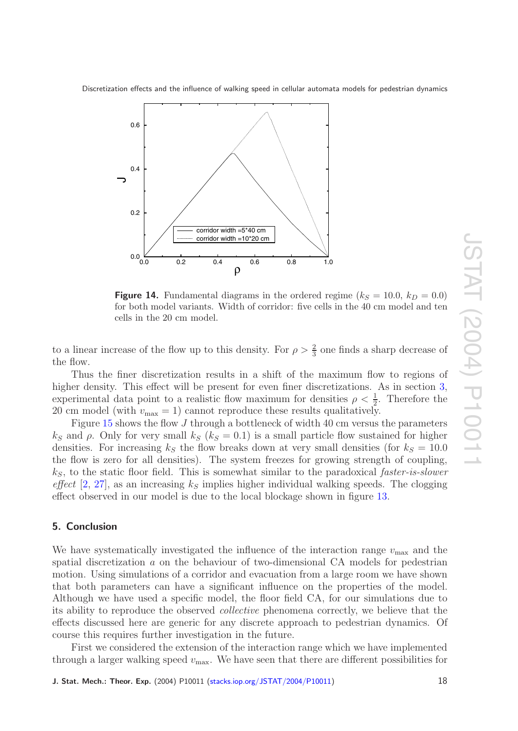<span id="page-17-1"></span>

**Figure 14.** Fundamental diagrams in the ordered regime ( $k_S = 10.0$ ,  $k_D = 0.0$ ) for both model variants. Width of corridor: five cells in the 40 cm model and ten cells in the 20 cm model.

to a linear increase of the flow up to this density. For  $\rho > \frac{2}{3}$  one finds a sharp decrease of the flow.

Thus the finer discretization results in a shift of the maximum flow to regions of higher density. This effect will be present for even finer discretizations. As in section [3](#page-3-0), experimental data point to a realistic flow maximum for densities  $\rho < \frac{1}{2}$ . Therefore the 20 cm model (with  $v_{\text{max}} = 1$ ) cannot reproduce these results qualitatively.

Figure [15](#page-18-0) shows the flow J through a bottleneck of width 40 cm versus the parameters  $k_S$  and  $\rho$ . Only for very small  $k_S$  ( $k_S = 0.1$ ) is a small particle flow sustained for higher densities. For increasing  $k<sub>S</sub>$  the flow breaks down at very small densities (for  $k<sub>S</sub> = 10.0$ ) the flow is zero for all densities). The system freezes for growing strength of coupling, k*S*, to the static floor field. This is somewhat similar to the paradoxical faster-is-slower *effect* [[2](#page-19-9), [27\]](#page-20-12), as an increasing  $k<sub>S</sub>$  implies higher individual walking speeds. The clogging effect observed in our model is due to the local blockage shown in figure [13](#page-16-1) .

## <span id="page-17-0"></span>**5. Conclusion**

We have systematically investigated the influence of the interaction range  $v_{\text{max}}$  and the spatial discretization a on the behaviour of two-dimensional CA models for pedestrian motion. Using simulations of a corridor and evacuation from a large room we have shown that both parameters can have a significant influence on the properties of the model. Although we have used a specific model, the floor field CA, for our simulations due to its ability to reproduce the observed collective phenomena correctly, we believe that the effects discussed here are generic for any discrete approach to pedestrian dynamics. Of course this requires further investigation in the future.

First we considered the extension of the interaction range which we have implemented through a larger walking speed  $v_{\text{max}}$ . We have seen that there are different possibilities for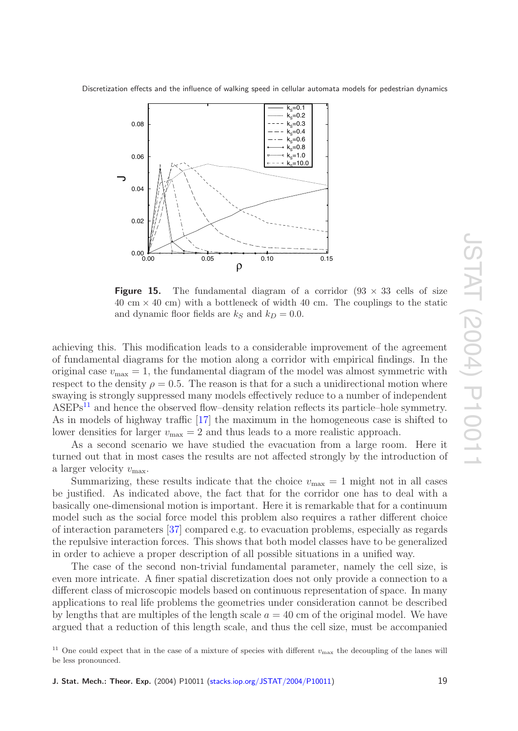<span id="page-18-0"></span>

**Figure 15.** The fundamental diagram of a corridor  $(93 \times 33)$  cells of size  $40 \text{ cm} \times 40 \text{ cm}$ ) with a bottleneck of width  $40 \text{ cm}$ . The couplings to the static and dynamic floor fields are  $k_S$  and  $k_D = 0.0$ .

achieving this. This modification leads to a considerable improvement of the agreement of fundamental diagrams for the motion along a corridor with empirical findings. In the original case  $v_{\text{max}} = 1$ , the fundamental diagram of the model was almost symmetric with respect to the density  $\rho = 0.5$ . The reason is that for a such a unidirectional motion where swaying is strongly suppressed many models effectively reduce to a number of independent  $ASEPs<sup>11</sup>$  $ASEPs<sup>11</sup>$  $ASEPs<sup>11</sup>$  and hence the observed flow–density relation reflects its particle–hole symmetry. As in models of highway traffic [\[17\]](#page-20-4) the maximum in the homogeneous case is shifted to lower densities for larger  $v_{\text{max}} = 2$  and thus leads to a more realistic approach.

As a second scenario we have studied the evacuation from a large room. Here it turned out that in most cases the results are not affected strongly by the introduction of a larger velocity  $v_{\text{max}}$ .

Summarizing, these results indicate that the choice  $v_{\text{max}} = 1$  might not in all cases be justified. As indicated above, the fact that for the corridor one has to deal with a basically one-dimensional motion is important. Here it is remarkable that for a continuum model such as the social force model this problem also requires a rather different choice of interaction parameters [\[37\]](#page-20-19) compared e.g. to evacuation problems, especially as regards the repulsive interaction forces. This shows that both model classes have to be generalized in order to achieve a proper description of all possible situations in a unified way.

The case of the second non-trivial fundamental parameter, namely the cell size, is even more intricate. A finer spatial discretization does not only provide a connection to a different class of microscopic models based on continuous representation of space. In many applications to real life problems the geometries under consideration cannot be described by lengths that are multiples of the length scale  $a = 40$  cm of the original model. We have argued that a reduction of this length scale, and thus the cell size, must be accompanied

<span id="page-18-1"></span><sup>&</sup>lt;sup>11</sup> One could expect that in the case of a mixture of species with different  $v_{\text{max}}$  the decoupling of the lanes will be less pron ounced.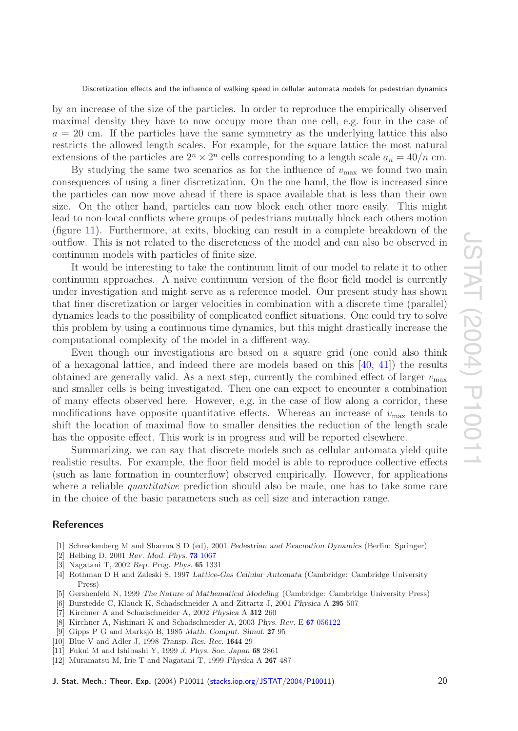by an increase of the size of the particles. In order to reproduce the empirically observed maximal density they have to now occupy more than one cell, e.g. four in the case of  $a = 20$  cm. If the particles have the same symmetry as the underlying lattice this also restricts the allowed length scales. For example, for the square lattice the most natural extensions of the particles are  $2^n \times 2^n$  cells corresponding to a length scale  $a_n = 40/n$  cm.

By studying the same two scenarios as for the influence of  $v_{\text{max}}$  we found two main consequences of using a finer discretization. On the one hand, the flow is increased since the particles can now move ahead if there is space available that is less than their own size. On the other hand, particles can now block each other more easily. This might lead to non-local conflicts where groups of pedestrians mutually block each others motion (figure [11\)](#page-14-1). Furthermore, at exits, blocking can result in a complete breakdown of the outflow. This is not related to the discreteness of the model and can also be observed in continuum models with particles of finite size.

It would be interesting to take the continuum limit of our model to relate it to other continuum approaches. A naive continuum version of the floor field model is currently under investigation and might serve as a reference model. Our present study has shown that finer discretization or larger velocities in combination with a discrete time (parallel) dynamics leads to the possibility of complicated conflict situations. One could try to solve this problem by using a continuous time dynamics, but this might drastically increase the computational complexity of the model in a different way.

Even though our investigations are based on a square grid (one could also think of a hexagonal lattice, and indeed there are models based on this  $[40, 41]$  $[40, 41]$  $[40, 41]$  the results obtained are generally valid. As a next step, currently the combined effect of larger  $v_{\text{max}}$ and smaller cells is being investigated. Then one can expect to encounter a combination of many effects observed here. However, e.g. in the case of flow along a corridor, these modifications have opposite quantitative effects. Whereas an increase of  $v_{\text{max}}$  tends to shift the location of maximal flow to smaller densities the reduction of the length scale has the opposite effect. This work is in progress and will be reported elsewhere.

Summarizing, we can say that discrete models such as cellular automata yield quite realistic results. For example, the floor field model is able to reproduce collective effects (such as lane formation in counterflow) observed empirically. However, for applications where a reliable *quantitative* prediction should also be made, one has to take some care in the choice of the basic parameters such as cell size and interaction range.

#### <span id="page-19-2"></span><span id="page-19-1"></span><span id="page-19-0"></span>**References**

- <span id="page-19-9"></span>[1] Schreckenberg M and Sharma S D (ed), 2001 *Pedestrian and Evacuation Dynamics* (Berlin: Springer)
- <span id="page-19-3"></span>[2] Helbing D, 2001 *Rev. Mod. Phys.* **73** [1067](http://link.aps.org/abstract/RMP/v73/p1067)
- <span id="page-19-4"></span>[3] Nagatani T, 2002 *Rep. Prog. Phys.* **65** 1331
- [4] Rothman D H and Zaleski S, 1997 *Lattice-Gas Cellular Automata* (Cambridge: Cambridge University Press)
- <span id="page-19-6"></span><span id="page-19-5"></span>[5] Gershenfeld N, 1999 *The Nature of Mathematical Modeling* (Cambridge: Cambridge University Press)
- <span id="page-19-10"></span>[6] Burstedde C, Klauck K, Schadschneider A and Zittartz J, 2001 *Physica* A **295** 507
- [7] Kirchner A and Schadschneider A, 2002 *Physica* A **312** 260
- <span id="page-19-7"></span>[8] Kirchner A, Nishinari K and Schadschneider A, 2003 *Phys. Rev.* E **67** [056122](http://link.aps.org/abstract/PRE/v67/p056122)
- [9] Gipps P G and Marksjö B, 1985 Math. Comput. Simul. 27 95
- <span id="page-19-8"></span>[10] Blue V and Adler J, 1998 *Transp. Res. Rec.* **1644** 29
- [11] Fukui M and Ishibashi Y, 1999 *J. Phys. Soc. Japan* **68** 2861
- [12] Muramatsu M, Irie T and Nagatani T, 1999 *Physica* A **267** 487